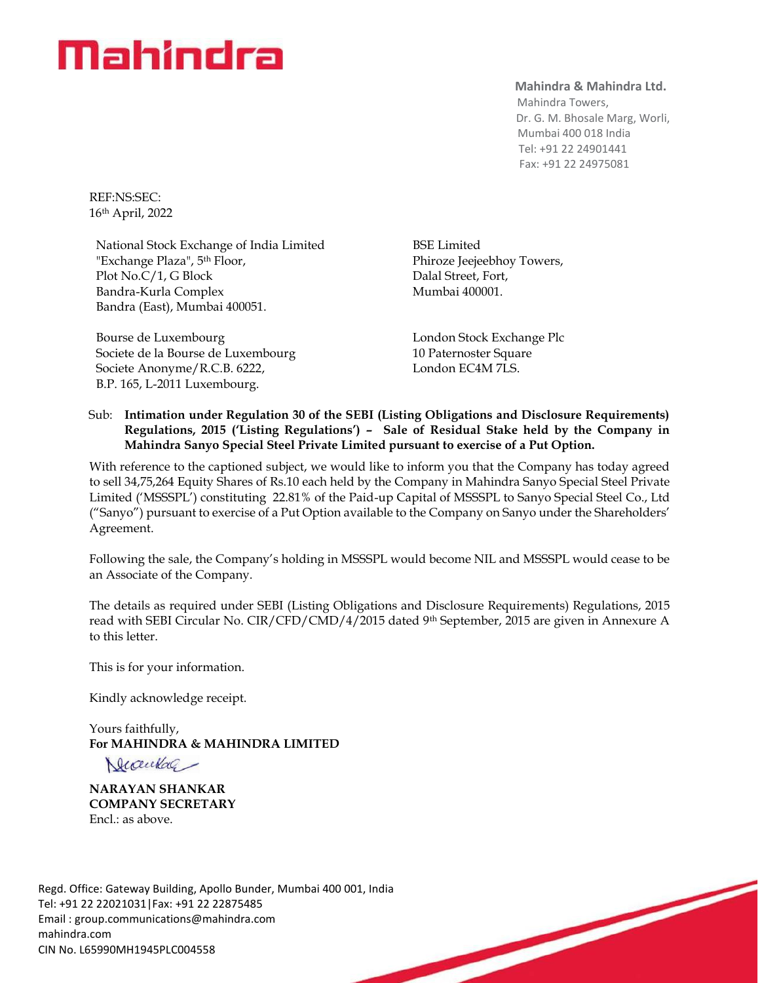# Mahindra

#### **Mahindra & Mahindra Ltd.**

 Mahindra Towers, Dr. G. M. Bhosale Marg, Worli, Mumbai 400 018 India Tel: +91 22 24901441 Fax: +91 22 24975081

REF:NS:SEC: 16 th April, 2022

National Stock Exchange of India Limited "Exchange Plaza", 5<sup>th</sup> Floor, Plot No.C/1, G Block Bandra-Kurla Complex Bandra (East), Mumbai 400051.

Bourse de Luxembourg Societe de la Bourse de Luxembourg Societe Anonyme/R.C.B. 6222, B.P. 165, L-2011 Luxembourg.

BSE Limited Phiroze Jeejeebhoy Towers, Dalal Street, Fort, Mumbai 400001.

London Stock Exchange Plc 10 Paternoster Square London EC4M 7LS.

### Sub: **Intimation under Regulation 30 of the SEBI (Listing Obligations and Disclosure Requirements) Regulations, 2015 ('Listing Regulations') – Sale of Residual Stake held by the Company in Mahindra Sanyo Special Steel Private Limited pursuant to exercise of a Put Option.**

With reference to the captioned subject, we would like to inform you that the Company has today agreed to sell 34,75,264 Equity Shares of Rs.10 each held by the Company in Mahindra Sanyo Special Steel Private Limited ('MSSSPL') constituting 22.81% of the Paid-up Capital of MSSSPL to Sanyo Special Steel Co., Ltd ("Sanyo") pursuant to exercise of a Put Option available to the Company on Sanyo under the Shareholders' Agreement.

Following the sale, the Company's holding in MSSSPL would become NIL and MSSSPL would cease to be an Associate of the Company.

The details as required under SEBI (Listing Obligations and Disclosure Requirements) Regulations, 2015 read with SEBI Circular No. CIR/CFD/CMD/4/2015 dated 9th September, 2015 are given in Annexure A to this letter.

This is for your information.

Kindly acknowledge receipt.

Yours faithfully, For MAHINDRA & MAHINDRA LIMITED<br>
<u>Neceurlace</u>

**NARAYAN SHANKAR COMPANY SECRETARY** Encl.: as above.

Regd. Office: Gateway Building, Apollo Bunder, Mumbai 400 001, India Tel: +91 22 22021031|Fax: +91 22 22875485 Email : [group.communications@mahindra.com](mailto:group.communications@mahindra.com) mahindra.com CIN No. L65990MH1945PLC004558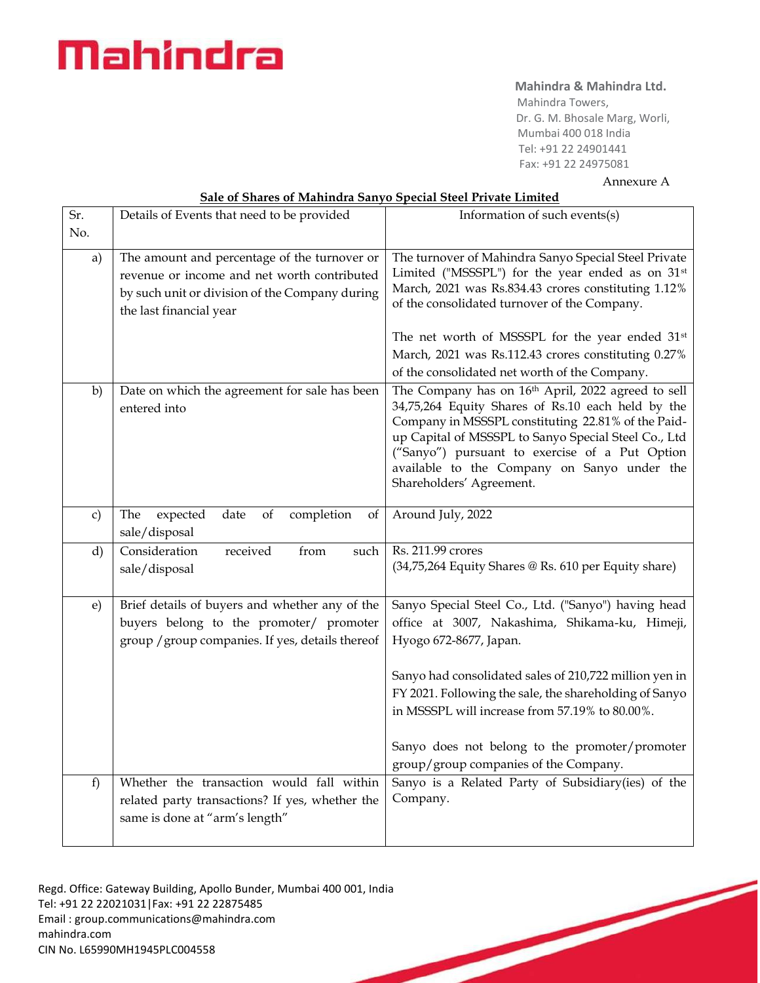# Mahindra

# **Mahindra & Mahindra Ltd.**

 Mahindra Towers, Dr. G. M. Bhosale Marg, Worli, Mumbai 400 018 India Tel: +91 22 24901441 Fax: +91 22 24975081

Annexure A

| Sr.          | Details of Events that need to be provided                                                                                                                               | Information of such events(s)                                                                                                                                                                                                                                                                                                                      |
|--------------|--------------------------------------------------------------------------------------------------------------------------------------------------------------------------|----------------------------------------------------------------------------------------------------------------------------------------------------------------------------------------------------------------------------------------------------------------------------------------------------------------------------------------------------|
| No.          |                                                                                                                                                                          |                                                                                                                                                                                                                                                                                                                                                    |
|              |                                                                                                                                                                          |                                                                                                                                                                                                                                                                                                                                                    |
| a)           | The amount and percentage of the turnover or<br>revenue or income and net worth contributed<br>by such unit or division of the Company during<br>the last financial year | The turnover of Mahindra Sanyo Special Steel Private<br>Limited ("MSSSPL") for the year ended as on 31 <sup>st</sup><br>March, 2021 was Rs.834.43 crores constituting 1.12%<br>of the consolidated turnover of the Company.                                                                                                                        |
|              |                                                                                                                                                                          | The net worth of MSSSPL for the year ended 31 <sup>st</sup>                                                                                                                                                                                                                                                                                        |
|              |                                                                                                                                                                          | March, 2021 was Rs.112.43 crores constituting 0.27%                                                                                                                                                                                                                                                                                                |
|              |                                                                                                                                                                          | of the consolidated net worth of the Company.                                                                                                                                                                                                                                                                                                      |
| b)           | Date on which the agreement for sale has been<br>entered into                                                                                                            | The Company has on 16th April, 2022 agreed to sell<br>34,75,264 Equity Shares of Rs.10 each held by the<br>Company in MSSSPL constituting 22.81% of the Paid-<br>up Capital of MSSSPL to Sanyo Special Steel Co., Ltd<br>("Sanyo") pursuant to exercise of a Put Option<br>available to the Company on Sanyo under the<br>Shareholders' Agreement. |
| c)           | date<br>completion<br>The<br>expected<br>of<br>of<br>sale/disposal                                                                                                       | Around July, 2022                                                                                                                                                                                                                                                                                                                                  |
| $\mathbf{d}$ | Consideration<br>from<br>received<br>such<br>sale/disposal                                                                                                               | Rs. 211.99 crores<br>(34,75,264 Equity Shares @ Rs. 610 per Equity share)                                                                                                                                                                                                                                                                          |
| $\epsilon$   | Brief details of buyers and whether any of the<br>buyers belong to the promoter/ promoter<br>group / group companies. If yes, details thereof                            | Sanyo Special Steel Co., Ltd. ("Sanyo") having head<br>office at 3007, Nakashima, Shikama-ku, Himeji,<br>Hyogo 672-8677, Japan.                                                                                                                                                                                                                    |
|              |                                                                                                                                                                          | Sanyo had consolidated sales of 210,722 million yen in<br>FY 2021. Following the sale, the shareholding of Sanyo<br>in MSSSPL will increase from 57.19% to 80.00%.                                                                                                                                                                                 |
|              |                                                                                                                                                                          | Sanyo does not belong to the promoter/promoter<br>group/group companies of the Company.                                                                                                                                                                                                                                                            |
| f)           | Whether the transaction would fall within<br>related party transactions? If yes, whether the<br>same is done at "arm's length"                                           | Sanyo is a Related Party of Subsidiary(ies) of the<br>Company.                                                                                                                                                                                                                                                                                     |

### **Sale of Shares of Mahindra Sanyo Special Steel Private Limited**

Regd. Office: Gateway Building, Apollo Bunder, Mumbai 400 001, India Tel: +91 22 22021031|Fax: +91 22 22875485 Email : [group.communications@mahindra.com](mailto:group.communications@mahindra.com) mahindra.com CIN No. L65990MH1945PLC004558